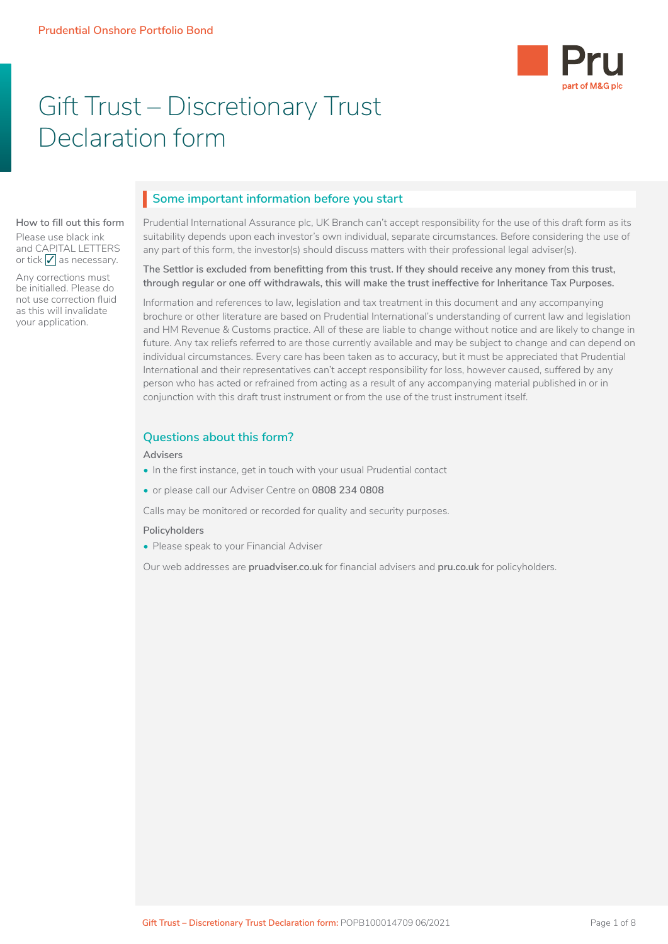

# Gift Trust – Discretionary Trust Declaration form

# **Some important information before you start** I

### **How to fill out this form**

Please use black ink and CAPITAL LETTERS or tick  $\sqrt{\ }$  as necessary.

Any corrections must be initialled. Please do not use correction fluid as this will invalidate your application.

# Prudential International Assurance plc, UK Branch can't accept responsibility for the use of this draft form as its

suitability depends upon each investor's own individual, separate circumstances. Before considering the use of any part of this form, the investor(s) should discuss matters with their professional legal adviser(s).

#### **The Settlor is excluded from benefitting from this trust. If they should receive any money from this trust, through regular or one off withdrawals, this will make the trust ineffective for Inheritance Tax Purposes.**

Information and references to law, legislation and tax treatment in this document and any accompanying brochure or other literature are based on Prudential International's understanding of current law and legislation and HM Revenue & Customs practice. All of these are liable to change without notice and are likely to change in future. Any tax reliefs referred to are those currently available and may be subject to change and can depend on individual circumstances. Every care has been taken as to accuracy, but it must be appreciated that Prudential International and their representatives can't accept responsibility for loss, however caused, suffered by any person who has acted or refrained from acting as a result of any accompanying material published in or in conjunction with this draft trust instrument or from the use of the trust instrument itself.

## **Questions about this form?**

#### **Advisers**

- In the first instance, get in touch with your usual Prudential contact
- or please call our Adviser Centre on **0808 234 0808**

Calls may be monitored or recorded for quality and security purposes.

#### **Policyholders**

• Please speak to your Financial Adviser

Our web addresses are **[pruadviser.co.uk](https://www.pruadviser.co.uk)** for financial advisers and **[pru.co.uk](https://www.pru.co.uk)** for policyholders.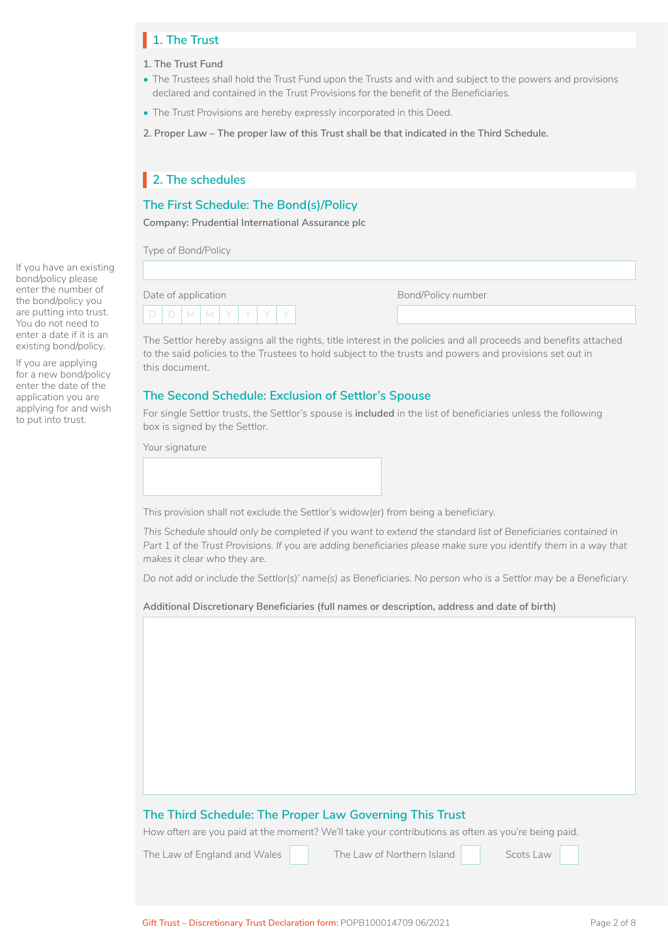# **1. The Trust** I

- **1. The Trust Fund**
- The Trustees shall hold the Trust Fund upon the Trusts and with and subject to the powers and provisions declared and contained in the Trust Provisions for the benefit of the Beneficiaries.
- The Trust Provisions are hereby expressly incorporated in this Deed.
- **2. Proper Law The proper law of this Trust shall be that indicated in the Third Schedule.**

# **2. The schedules** I

### **The First Schedule: The Bond(s)/Policy**

**Company: Prudential International Assurance plc**

Type of Bond/Policy

| Date of application |             |  |  |  |
|---------------------|-------------|--|--|--|
|                     | $D$ M M $Y$ |  |  |  |

Bond/Policy number

The Settlor hereby assigns all the rights, title interest in the policies and all proceeds and benefits attached to the said policies to the Trustees to hold subject to the trusts and powers and provisions set out in this document.

### **The Second Schedule: Exclusion of Settlor's Spouse**

For single Settlor trusts, the Settlor's spouse is **included** in the list of beneficiaries unless the following box is signed by the Settlor.

Your signature

This provision shall not exclude the Settlor's widow(er) from being a beneficiary.

*This Schedule should only be completed if you want to extend the standard list of Beneficiaries contained in*  Part 1 of the Trust Provisions. If you are adding beneficiaries please make sure you identify them in a way that *makes it clear who they are.*

*Do not add or include the Settlor(s)' name(s) as Beneficiaries. No person who is a Settlor may be a Beneficiary.*

**Additional Discretionary Beneficiaries (full names or description, address and date of birth)**

### **The Third Schedule: The Proper Law Governing This Trust**

How often are you paid at the moment? We'll take your contributions as often as you're being paid.

The Law of England and Wales The Law of Northern Island Scots Law

The Law of Northern Island

If you have an existing bond/policy please enter the number of the bond/policy you are putting into trust. You do not need to enter a date if it is an existing bond/policy.

If you are applying for a new bond/policy enter the date of the application you are applying for and wish to put into trust.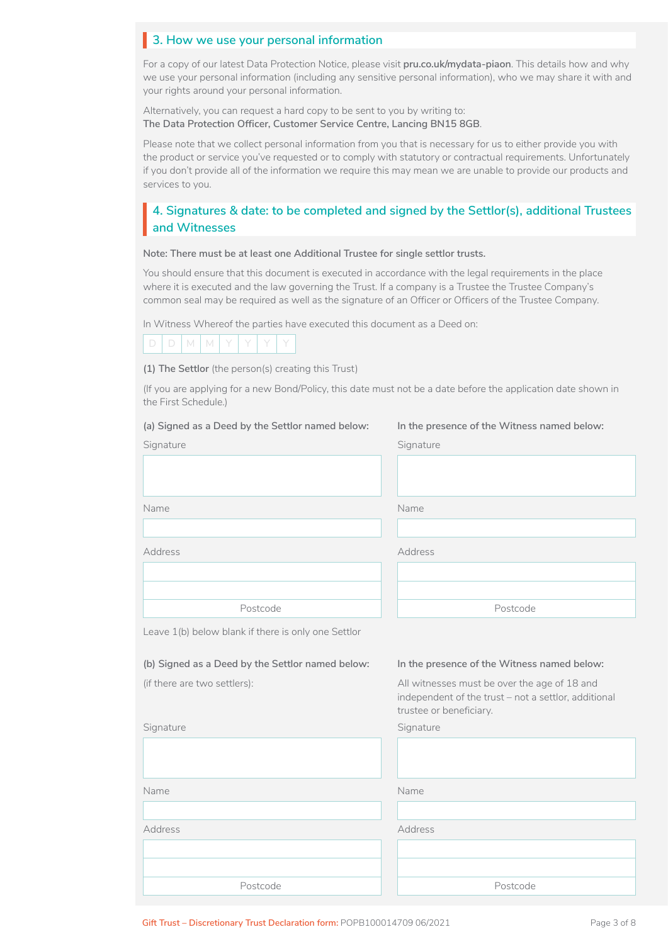# **3. How we use your personal information** I

For a copy of our latest Data Protection Notice, please visit **[pru.co.uk/mydata-piaon](https://www.pru.co.uk/mydata-piaon)**. This details how and why we use your personal information (including any sensitive personal information), who we may share it with and your rights around your personal information.

Alternatively, you can request a hard copy to be sent to you by writing to: **The Data Protection Officer, Customer Service Centre, Lancing BN15 8GB**.

Please note that we collect personal information from you that is necessary for us to either provide you with the product or service you've requested or to comply with statutory or contractual requirements. Unfortunately if you don't provide all of the information we require this may mean we are unable to provide our products and services to you.

# **4. Signatures & date: to be completed and signed by the Settlor(s), additional Trustees**<br>and Witnesses **and Witnesses**

#### **Note: There must be at least one Additional Trustee for single settlor trusts.**

You should ensure that this document is executed in accordance with the legal requirements in the place where it is executed and the law governing the Trust. If a company is a Trustee the Trustee Company's common seal may be required as well as the signature of an Officer or Officers of the Trustee Company.

In Witness Whereof the parties have executed this document as a Deed on:



**(1) The Settlor** (the person(s) creating this Trust)

(If you are applying for a new Bond/Policy, this date must not be a date before the application date shown in the First Schedule.)

| (a) Signed as a Deed by the Settlor named below:<br>Signature | In the presence of the Witness named below:<br>Signature                                                                        |
|---------------------------------------------------------------|---------------------------------------------------------------------------------------------------------------------------------|
|                                                               |                                                                                                                                 |
| Name                                                          | Name                                                                                                                            |
|                                                               |                                                                                                                                 |
| Address                                                       | Address                                                                                                                         |
|                                                               |                                                                                                                                 |
|                                                               |                                                                                                                                 |
| Postcode                                                      | Postcode                                                                                                                        |
| Leave 1(b) below blank if there is only one Settlor           |                                                                                                                                 |
| (b) Signed as a Deed by the Settlor named below:              | In the presence of the Witness named below:                                                                                     |
| (if there are two settlers):                                  | All witnesses must be over the age of 18 and<br>independent of the trust - not a settlor, additional<br>trustee or beneficiary. |
| Signature                                                     | Signature                                                                                                                       |
|                                                               |                                                                                                                                 |
| Name                                                          | Name                                                                                                                            |
|                                                               |                                                                                                                                 |
| Address                                                       | Address                                                                                                                         |
|                                                               |                                                                                                                                 |
|                                                               |                                                                                                                                 |
| Postcode                                                      | Postcode                                                                                                                        |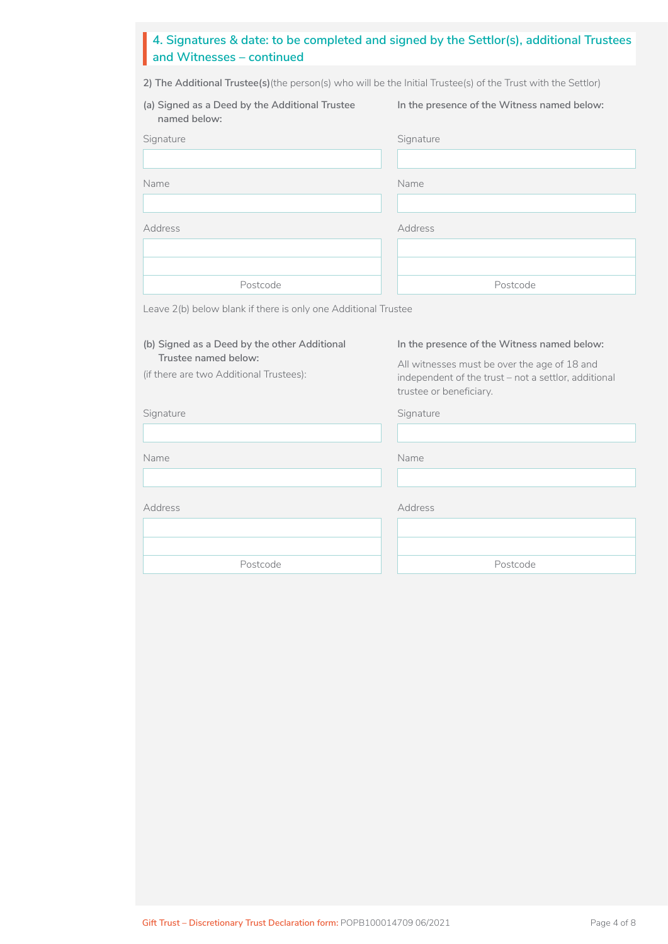# **4. Signatures & date: to be completed and signed by the Settlor(s), additional Trustees**  I **and Witnesses – continued**

**2) The Additional Trustee(s)**(the person(s) who will be the Initial Trustee(s) of the Trust with the Settlor)

| (a) Signed as a Deed by the Additional Trustee<br>named below: | In the presence of the Witness named below: |
|----------------------------------------------------------------|---------------------------------------------|
| Signature                                                      | Signature                                   |
|                                                                |                                             |
| Name                                                           | Name                                        |
|                                                                |                                             |
| <b>Address</b>                                                 | Address                                     |
|                                                                |                                             |
|                                                                |                                             |
| Postcode                                                       | Postcode                                    |
| Leave 2(b) below blank if there is only one Additional Trustee |                                             |

| (b) Signed as a Deed by the other Additional |  |
|----------------------------------------------|--|

**Trustee named below:**

(if there are two Additional Trustees):

### **In the presence of the Witness named below:**

All witnesses must be over the age of 18 and independent of the trust – not a settlor, additional trustee or beneficiary.

Signature Signature Signature Signature Signature

Name Name

Address

Postcode

Address Postcode Address<br>
Postcode<br>
Postcode<br>
Postcode<br>
Postcode<br>
Postcode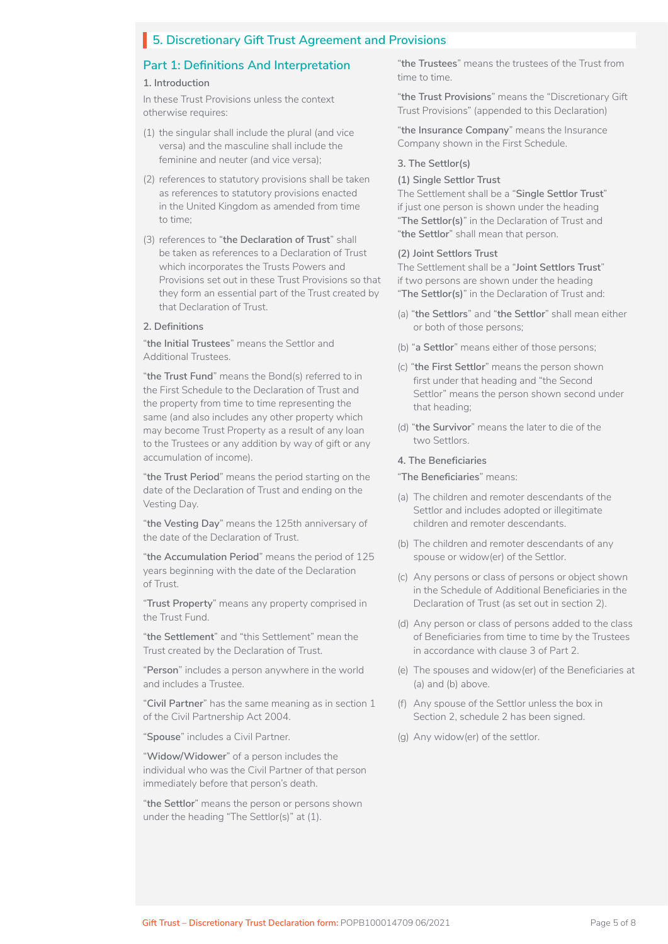# **5. Discretionary Gift Trust Agreement and Provisions** I

### **Part 1: Definitions And Interpretation**

#### **1. Introduction**

In these Trust Provisions unless the context otherwise requires:

- (1) the singular shall include the plural (and vice versa) and the masculine shall include the feminine and neuter (and vice versa);
- (2) references to statutory provisions shall be taken as references to statutory provisions enacted in the United Kingdom as amended from time to time;
- (3) references to "**the Declaration of Trust**" shall be taken as references to a Declaration of Trust which incorporates the Trusts Powers and Provisions set out in these Trust Provisions so that they form an essential part of the Trust created by that Declaration of Trust.

#### **2. Definitions**

"**the Initial Trustees**" means the Settlor and Additional Trustees.

"**the Trust Fund**" means the Bond(s) referred to in the First Schedule to the Declaration of Trust and the property from time to time representing the same (and also includes any other property which may become Trust Property as a result of any loan to the Trustees or any addition by way of gift or any accumulation of income).

"**the Trust Period**" means the period starting on the date of the Declaration of Trust and ending on the Vesting Day.

"**the Vesting Day**" means the 125th anniversary of the date of the Declaration of Trust.

"**the Accumulation Period**" means the period of 125 years beginning with the date of the Declaration of Trust.

"**Trust Property**" means any property comprised in the Trust Fund.

"**the Settlement**" and "this Settlement" mean the Trust created by the Declaration of Trust.

"**Person**" includes a person anywhere in the world and includes a Trustee.

"**Civil Partner**" has the same meaning as in section 1 of the Civil Partnership Act 2004.

"**Spouse**" includes a Civil Partner.

"**Widow/Widower**" of a person includes the individual who was the Civil Partner of that person immediately before that person's death.

"**the Settlor**" means the person or persons shown under the heading "The Settlor(s)" at (1).

"**the Trustees**" means the trustees of the Trust from time to time.

"**the Trust Provisions**" means the "Discretionary Gift Trust Provisions" (appended to this Declaration)

"**the Insurance Company**" means the Insurance Company shown in the First Schedule.

#### **3. The Settlor(s)**

#### **(1) Single Settlor Trust**

The Settlement shall be a "**Single Settlor Trust**" if just one person is shown under the heading "**The Settlor(s)**" in the Declaration of Trust and "**the Settlor**" shall mean that person.

#### **(2) Joint Settlors Trust**

The Settlement shall be a "**Joint Settlors Trust**" if two persons are shown under the heading "**The Settlor(s)**" in the Declaration of Trust and:

- (a) "**the Settlors**" and "**the Settlor**" shall mean either or both of those persons;
- (b) "**a Settlor**" means either of those persons;
- (c) "**the First Settlor**" means the person shown first under that heading and "the Second Settlor" means the person shown second under that heading;
- (d) "**the Survivor**" means the later to die of the two Settlors.

#### **4. The Beneficiaries**

#### "**The Beneficiaries**" means:

- (a) The children and remoter descendants of the Settlor and includes adopted or illegitimate children and remoter descendants.
- (b) The children and remoter descendants of any spouse or widow(er) of the Settlor.
- (c) Any persons or class of persons or object shown in the Schedule of Additional Beneficiaries in the Declaration of Trust (as set out in section 2).
- (d) Any person or class of persons added to the class of Beneficiaries from time to time by the Trustees in accordance with clause 3 of Part 2.
- (e) The spouses and widow(er) of the Beneficiaries at (a) and (b) above.
- (f) Any spouse of the Settlor unless the box in Section 2, schedule 2 has been signed.
- (g) Any widow(er) of the settlor.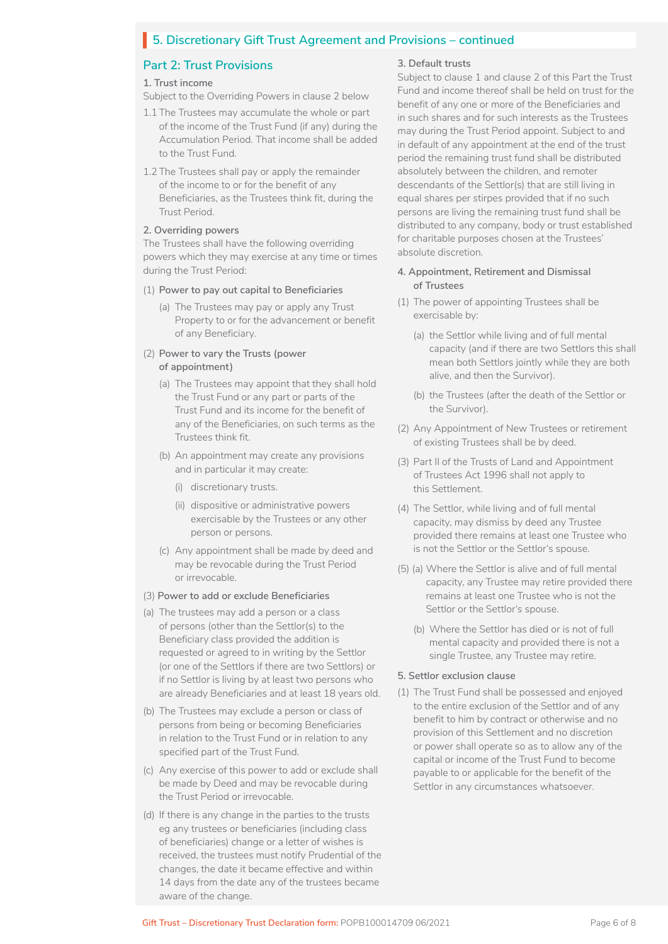# **5. Discretionary Gift Trust Agreement and Provisions – continued** I

### **Part 2: Trust Provisions**

#### **1. Trust income**

Subject to the Overriding Powers in clause 2 below

- 1.1 The Trustees may accumulate the whole or part of the income of the Trust Fund (if any) during the Accumulation Period. That income shall be added to the Trust Fund.
- 1.2 The Trustees shall pay or apply the remainder of the income to or for the benefit of any Beneficiaries, as the Trustees think fit, during the Trust Period.

#### **2. Overriding powers**

The Trustees shall have the following overriding powers which they may exercise at any time or times during the Trust Period:

#### (1) **Power to pay out capital to Beneficiaries**

(a) The Trustees may pay or apply any Trust Property to or for the advancement or benefit of any Beneficiary.

#### (2) **Power to vary the Trusts (power of appointment)**

- (a) The Trustees may appoint that they shall hold the Trust Fund or any part or parts of the Trust Fund and its income for the benefit of any of the Beneficiaries, on such terms as the Trustees think fit.
- (b) An appointment may create any provisions and in particular it may create:
	- (i) discretionary trusts.
	- (ii) dispositive or administrative powers exercisable by the Trustees or any other person or persons.
- (c) Any appointment shall be made by deed and may be revocable during the Trust Period or irrevocable.

### (3) **Power to add or exclude Beneficiaries**

- (a) The trustees may add a person or a class of persons (other than the Settlor(s) to the Beneficiary class provided the addition is requested or agreed to in writing by the Settlor (or one of the Settlors if there are two Settlors) or if no Settlor is living by at least two persons who are already Beneficiaries and at least 18 years old.
- (b) The Trustees may exclude a person or class of persons from being or becoming Beneficiaries in relation to the Trust Fund or in relation to any specified part of the Trust Fund.
- (c) Any exercise of this power to add or exclude shall be made by Deed and may be revocable during the Trust Period or irrevocable.
- (d) If there is any change in the parties to the trusts eg any trustees or beneficiaries (including class of beneficiaries) change or a letter of wishes is received, the trustees must notify Prudential of the changes, the date it became effective and within 14 days from the date any of the trustees became aware of the change.

#### **3. Default trusts**

Subject to clause 1 and clause 2 of this Part the Trust Fund and income thereof shall be held on trust for the benefit of any one or more of the Beneficiaries and in such shares and for such interests as the Trustees may during the Trust Period appoint. Subject to and in default of any appointment at the end of the trust period the remaining trust fund shall be distributed absolutely between the children, and remoter descendants of the Settlor(s) that are still living in equal shares per stirpes provided that if no such persons are living the remaining trust fund shall be distributed to any company, body or trust established for charitable purposes chosen at the Trustees' absolute discretion.

#### **4. Appointment, Retirement and Dismissal of Trustees**

- (1) The power of appointing Trustees shall be exercisable by:
	- (a) the Settlor while living and of full mental capacity (and if there are two Settlors this shall mean both Settlors jointly while they are both alive, and then the Survivor).
	- (b) the Trustees (after the death of the Settlor or the Survivor).
- (2) Any Appointment of New Trustees or retirement of existing Trustees shall be by deed.
- (3) Part II of the Trusts of Land and Appointment of Trustees Act 1996 shall not apply to this Settlement.
- (4) The Settlor, while living and of full mental capacity, may dismiss by deed any Trustee provided there remains at least one Trustee who is not the Settlor or the Settlor's spouse.
- (5) (a) Where the Settlor is alive and of full mental capacity, any Trustee may retire provided there remains at least one Trustee who is not the Settlor or the Settlor's spouse.
	- (b) Where the Settlor has died or is not of full mental capacity and provided there is not a single Trustee, any Trustee may retire.

#### **5. Settlor exclusion clause**

(1) The Trust Fund shall be possessed and enjoyed to the entire exclusion of the Settlor and of any benefit to him by contract or otherwise and no provision of this Settlement and no discretion or power shall operate so as to allow any of the capital or income of the Trust Fund to become payable to or applicable for the benefit of the Settlor in any circumstances whatsoever.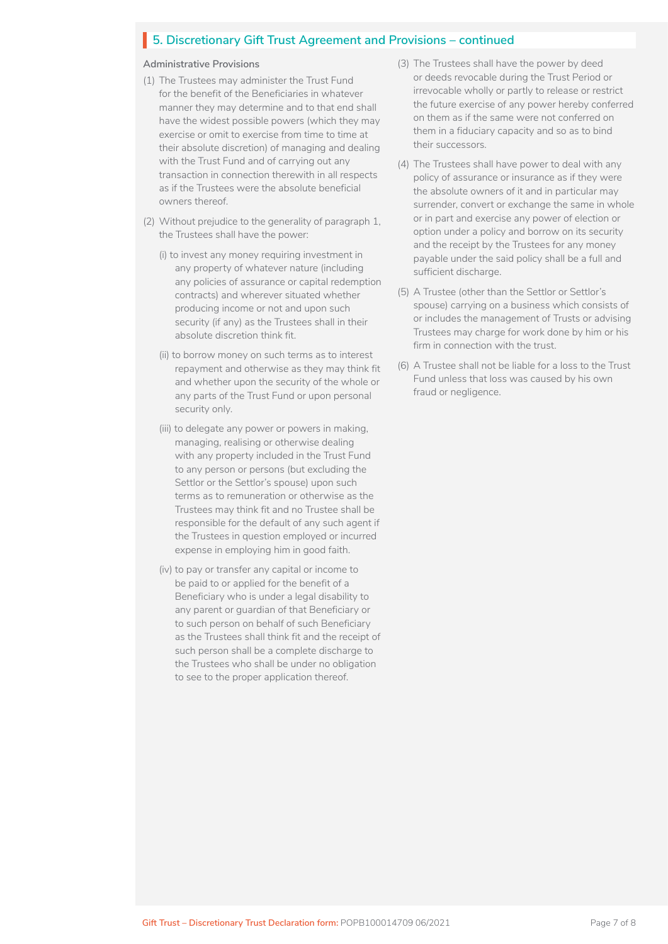# **5. Discretionary Gift Trust Agreement and Provisions – continued** I

#### **Administrative Provisions**

- (1) The Trustees may administer the Trust Fund for the benefit of the Beneficiaries in whatever manner they may determine and to that end shall have the widest possible powers (which they may exercise or omit to exercise from time to time at their absolute discretion) of managing and dealing with the Trust Fund and of carrying out any transaction in connection therewith in all respects as if the Trustees were the absolute beneficial owners thereof.
- (2) Without prejudice to the generality of paragraph 1, the Trustees shall have the power:
	- (i) to invest any money requiring investment in any property of whatever nature (including any policies of assurance or capital redemption contracts) and wherever situated whether producing income or not and upon such security (if any) as the Trustees shall in their absolute discretion think fit.
	- (ii) to borrow money on such terms as to interest repayment and otherwise as they may think fit and whether upon the security of the whole or any parts of the Trust Fund or upon personal security only.
	- (iii) to delegate any power or powers in making, managing, realising or otherwise dealing with any property included in the Trust Fund to any person or persons (but excluding the Settlor or the Settlor's spouse) upon such terms as to remuneration or otherwise as the Trustees may think fit and no Trustee shall be responsible for the default of any such agent if the Trustees in question employed or incurred expense in employing him in good faith.
	- (iv) to pay or transfer any capital or income to be paid to or applied for the benefit of a Beneficiary who is under a legal disability to any parent or guardian of that Beneficiary or to such person on behalf of such Beneficiary as the Trustees shall think fit and the receipt of such person shall be a complete discharge to the Trustees who shall be under no obligation to see to the proper application thereof.
- (3) The Trustees shall have the power by deed or deeds revocable during the Trust Period or irrevocable wholly or partly to release or restrict the future exercise of any power hereby conferred on them as if the same were not conferred on them in a fiduciary capacity and so as to bind their successors.
- (4) The Trustees shall have power to deal with any policy of assurance or insurance as if they were the absolute owners of it and in particular may surrender, convert or exchange the same in whole or in part and exercise any power of election or option under a policy and borrow on its security and the receipt by the Trustees for any money payable under the said policy shall be a full and sufficient discharge.
- (5) A Trustee (other than the Settlor or Settlor's spouse) carrying on a business which consists of or includes the management of Trusts or advising Trustees may charge for work done by him or his firm in connection with the trust.
- (6) A Trustee shall not be liable for a loss to the Trust Fund unless that loss was caused by his own fraud or negligence.